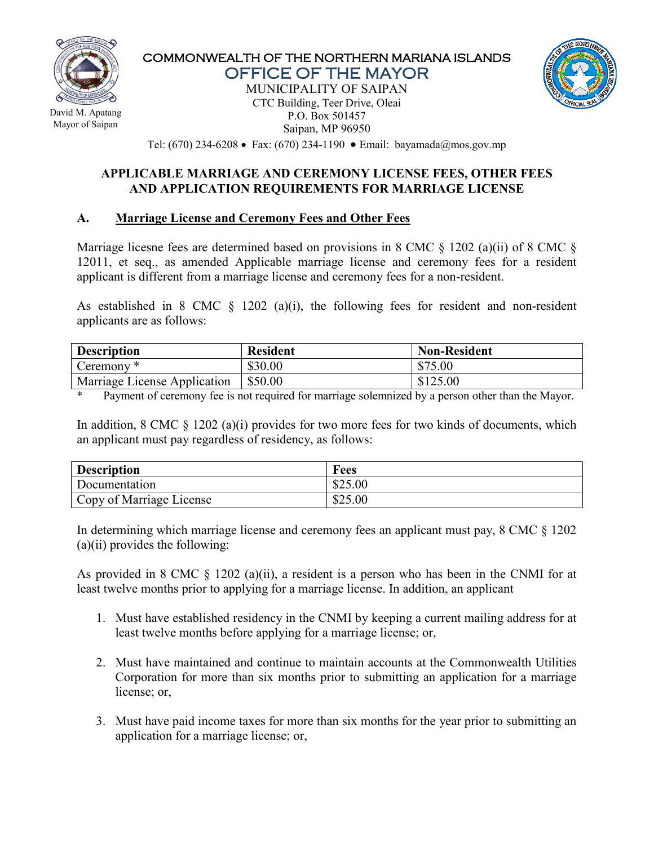

 David M. Apatang Mayor of Saipan

#### COMMONWEALTH OF THE NORTHERN MARIANA ISLANDS OFFICE OF THE MAYOR

MUNICIPALITY OF SAIPAN CTC Building, Teer Drive, Oleai P.O. Box 501457 Saipan, MP 96950



Tel: (670) 234-6208 • Fax: (670) 234-1190 • Email: bayamada@mos.gov.mp

#### **APPLICABLE MARRIAGE AND CEREMONY LICENSE FEES, OTHER FEES AND APPLICATION REQUIREMENTS FOR MARRIAGE LICENSE**

### **A. Marriage License and Ceremony Fees and Other Fees**

Marriage licesne fees are determined based on provisions in 8 CMC  $\frac{1202}{a}(i)$  of 8 CMC  $\frac{1202}{b}$ 12011, et seq., as amended Applicable marriage license and ceremony fees for a resident applicant is different from a marriage license and ceremony fees for a non-resident.

As established in 8 CMC  $\S$  1202 (a)(i), the following fees for resident and non-resident applicants are as follows:

| <b>Description</b>                  | <b>Resident</b> | <b>Non-Resident</b> |
|-------------------------------------|-----------------|---------------------|
| Ceremony <sup>*</sup>               | \$30.00         | \$75.00             |
| <b>Marriage License Application</b> | \$50.00         | \$125.00            |

\* Payment of ceremony fee is not required for marriage solemnized by a person other than the Mayor.

In addition,  $8 \text{ CMC } \S$  1202 (a)(i) provides for two more fees for two kinds of documents, which an applicant must pay regardless of residency, as follows:

| <b>Description</b>       | <b>Fees</b> |
|--------------------------|-------------|
| Documentation            | \$25.00     |
| Copy of Marriage License | \$25.00     |

In determining which marriage license and ceremony fees an applicant must pay, 8 CMC § 1202  $(a)(ii)$  provides the following:

As provided in 8 CMC § 1202 (a)(ii), a resident is a person who has been in the CNMI for at least twelve months prior to applying for a marriage license. In addition, an applicant

- 1. Must have established residency in the CNMI by keeping a current mailing address for at least twelve months before applying for a marriage license; or,
- 2. Must have maintained and continue to maintain accounts at the Commonwealth Utilities Corporation for more than six months prior to submitting an application for a marriage license; or,
- 3. Must have paid income taxes for more than six months for the year prior to submitting an application for a marriage license; or,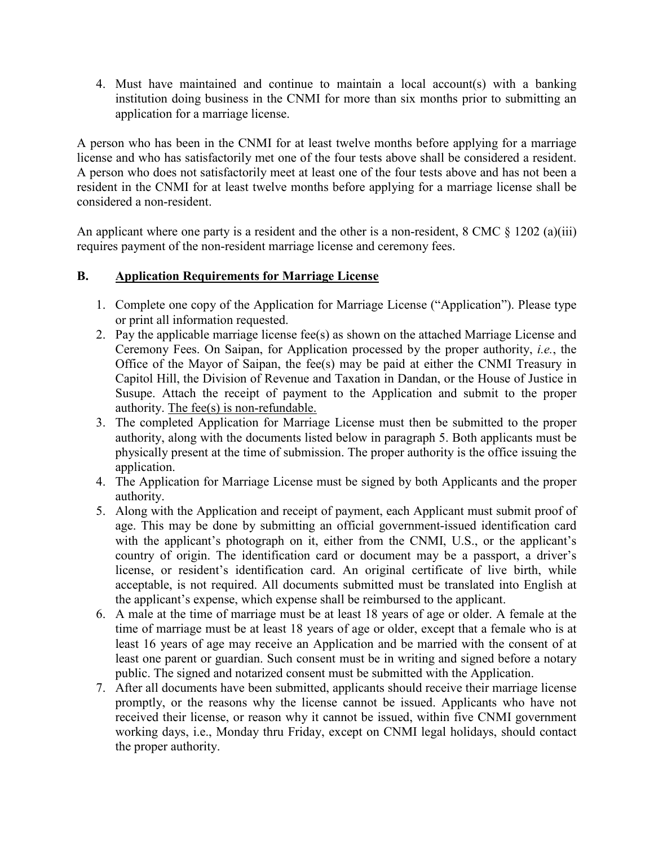4. Must have maintained and continue to maintain a local account(s) with a banking institution doing business in the CNMI for more than six months prior to submitting an application for a marriage license.

A person who has been in the CNMI for at least twelve months before applying for a marriage license and who has satisfactorily met one of the four tests above shall be considered a resident. A person who does not satisfactorily meet at least one of the four tests above and has not been a resident in the CNMI for at least twelve months before applying for a marriage license shall be considered a non-resident.

An applicant where one party is a resident and the other is a non-resident,  $8 \text{ CMC } \frac{8}{9}$  1202 (a)(iii) requires payment of the non-resident marriage license and ceremony fees.

## **B. Application Requirements for Marriage License**

- 1. Complete one copy of the Application for Marriage License ("Application"). Please type or print all information requested.
- 2. Pay the applicable marriage license fee(s) as shown on the attached Marriage License and Ceremony Fees. On Saipan, for Application processed by the proper authority, *i.e.*, the Office of the Mayor of Saipan, the fee(s) may be paid at either the CNMI Treasury in Capitol Hill, the Division of Revenue and Taxation in Dandan, or the House of Justice in Susupe. Attach the receipt of payment to the Application and submit to the proper authority. The fee(s) is non-refundable.
- 3. The completed Application for Marriage License must then be submitted to the proper authority, along with the documents listed below in paragraph 5. Both applicants must be physically present at the time of submission. The proper authority is the office issuing the application.
- 4. The Application for Marriage License must be signed by both Applicants and the proper authority.
- 5. Along with the Application and receipt of payment, each Applicant must submit proof of age. This may be done by submitting an official government-issued identification card with the applicant's photograph on it, either from the CNMI, U.S., or the applicant's country of origin. The identification card or document may be a passport, a driver's license, or resident's identification card. An original certificate of live birth, while acceptable, is not required. All documents submitted must be translated into English at the applicant's expense, which expense shall be reimbursed to the applicant.
- 6. A male at the time of marriage must be at least 18 years of age or older. A female at the time of marriage must be at least 18 years of age or older, except that a female who is at least 16 years of age may receive an Application and be married with the consent of at least one parent or guardian. Such consent must be in writing and signed before a notary public. The signed and notarized consent must be submitted with the Application.
- 7. After all documents have been submitted, applicants should receive their marriage license promptly, or the reasons why the license cannot be issued. Applicants who have not received their license, or reason why it cannot be issued, within five CNMI government working days, i.e., Monday thru Friday, except on CNMI legal holidays, should contact the proper authority.